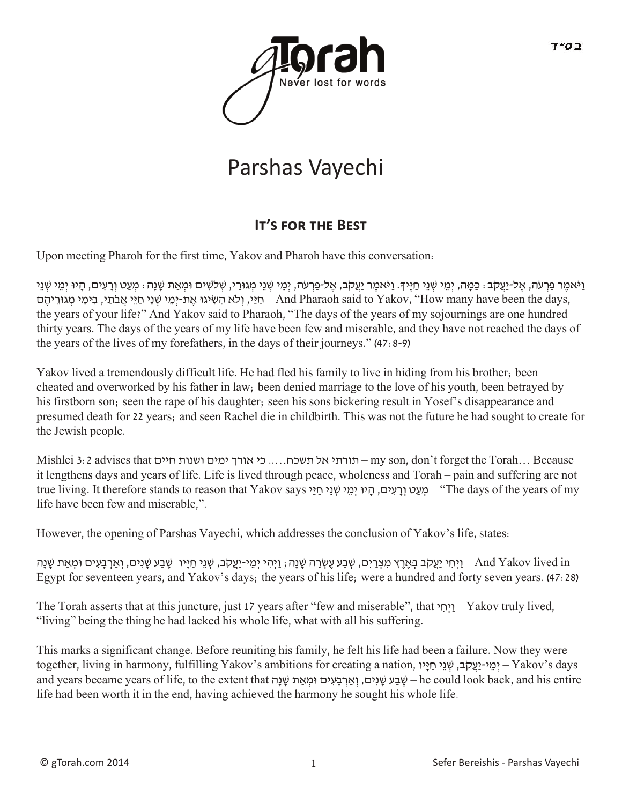

# Parshas Vayechi

## **It's for the Best**

Upon meeting Pharoh for the first time, Yakov and Pharoh have this conversation:

וַיֹּאמֶר פַרְעֹה, אֱל-יַעֲקֹב: כַּמָּה, יְמֵי שְׁנֵי חַיֵּיךָ. וַיֹּאמֶר יַעֲקֹב, אֲל-פַרְעֹה, יְמֵי שְׁנֵי מִגוּרַי, שְׁלֹשִׁים וּמְאַת שַׁנַה: מְעַט וְרַעִים, הָיוּ יְמֵי שְׁנֵי חֵיֵּי, וְלֹא הִשִׂיגוּ אֲת-יִמֵי שְׁנֵי חַיֵּי אֲבֹתֵי, בִימֵי מְגוּרֵיהֶם – And Pharaoh said to Yakov, ''How many have been the days, the years of your life?" And Yakov said to Pharaoh, "The days of the years of my sojournings are one hundred thirty years. The days of the years of my life have been few and miserable, and they have not reached the days of the years of the lives of my forefathers, in the days of their journeys." (47:8-9)

Yakov lived a tremendously difficult life. He had fled his family to live in hiding from his brother; been cheated and overworked by his father in law; been denied marriage to the love of his youth, been betrayed by his firstborn son; seen the rape of his daughter; seen his sons bickering result in Yosef's disappearance and presumed death for 22 years; and seen Rachel die in childbirth. This was not the future he had sought to create for the Jewish people.

Mishlei 3:2 advises that חיים ושנות ימים אורך כי .....תשכח אל תורתי – my son, don't forget the Torah… Because it lengthens days and years of life. Life is lived through peace, wholeness and Torah – pain and suffering are not true living. It therefore stands to reason that Yakov says יְרֵעִים, הַיּוּ יְמֵי שְׁנֵי חַיַּי says לְמֵעָט ו life have been few and miserable,".

However, the opening of Parshas Vayechi, which addresses the conclusion of Yakov's life, states:

יְחִי יַעֲקֹב בְּאֶרֶץ מִצְרָיִם, שָׁבַע שֶׂנֶה; וַיְהִי יִמֵי-יַעֲקֹב, שְׁנֵי חַיַּיו–שֶׁבַע שֶׁנִים, וְאַרְבָעִים וּמִאֶת שַׁנַה; וֹאֲהֹ יִם יִּחַ יִּחַ יָּשְׁבַע שָׁנִים, וְאַרְבָעִים וּמְאֶת שַׁנַה Egypt for seventeen years, and Yakov's days; the years of his life; were a hundred and forty seven years. (47:28)

The Torah asserts that at this juncture, just 17 years after "few and miserable", that י ִחְיַו – Yakov truly lived, "living" being the thing he had lacked his whole life, what with all his suffering.

This marks a significant change. Before reuniting his family, he felt his life had been a failure. Now they were together, living in harmony, fulfilling Yakov's ambitions for creating a nation, יְמֵי-יַעֲקֹב, שְׁנֵי חֵיָיו, and years became years of life, to the extent that הָנׁ ָש אתַ ְומּ ים ִעּ ָב ְארַ ְו ,יםִנׁ ָש ע ַבׁ ֶש – he could look back, and his entire life had been worth it in the end, having achieved the harmony he sought his whole life.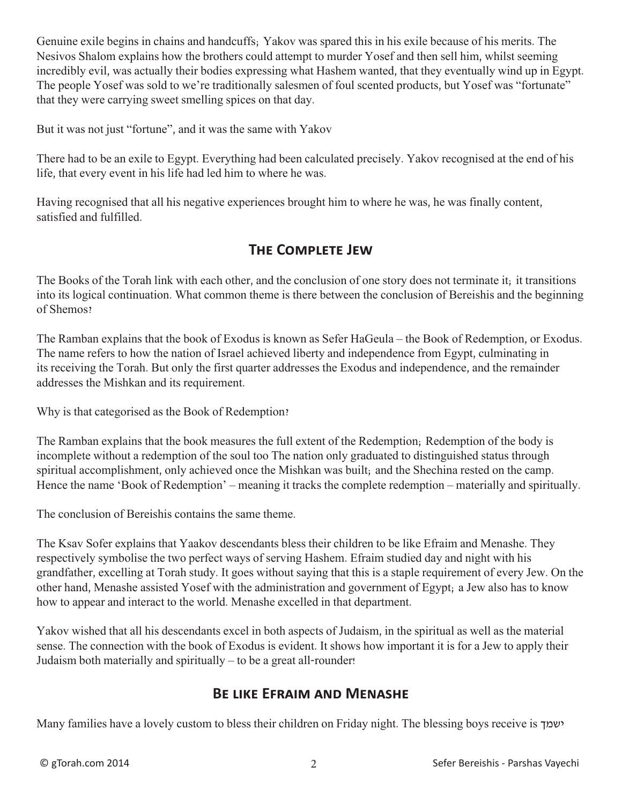Genuine exile begins in chains and handcuffs; Yakov was spared this in his exile because of his merits. The Nesivos Shalom explains how the brothers could attempt to murder Yosef and then sell him, whilst seeming incredibly evil, was actually their bodies expressing what Hashem wanted, that they eventually wind up in Egypt. The people Yosef was sold to we're traditionally salesmen of foul scented products, but Yosef was "fortunate" that they were carrying sweet smelling spices on that day.

But it was not just "fortune", and it was the same with Yakov

There had to be an exile to Egypt. Everything had been calculated precisely. Yakov recognised at the end of his life, that every event in his life had led him to where he was.

Having recognised that all his negative experiences brought him to where he was, he was finally content, satisfied and fulfilled.

#### **The Complete Jew**

The Books of the Torah link with each other, and the conclusion of one story does not terminate it; it transitions into its logical continuation. What common theme is there between the conclusion of Bereishis and the beginning of Shemos?

The Ramban explains that the book of Exodus is known as Sefer HaGeula – the Book of Redemption, or Exodus. The name refers to how the nation of Israel achieved liberty and independence from Egypt, culminating in its receiving the Torah. But only the first quarter addresses the Exodus and independence, and the remainder addresses the Mishkan and its requirement.

Why is that categorised as the Book of Redemption?

The Ramban explains that the book measures the full extent of the Redemption; Redemption of the body is incomplete without a redemption of the soul too The nation only graduated to distinguished status through spiritual accomplishment, only achieved once the Mishkan was built; and the Shechina rested on the camp. Hence the name 'Book of Redemption' – meaning it tracks the complete redemption – materially and spiritually.

The conclusion of Bereishis contains the same theme.

The Ksav Sofer explains that Yaakov descendants bless their children to be like Efraim and Menashe. They respectively symbolise the two perfect ways of serving Hashem. Efraim studied day and night with his grandfather, excelling at Torah study. It goes without saying that this is a staple requirement of every Jew. On the other hand, Menashe assisted Yosef with the administration and government of Egypt; a Jew also has to know how to appear and interact to the world. Menashe excelled in that department.

Yakov wished that all his descendants excel in both aspects of Judaism, in the spiritual as well as the material sense. The connection with the book of Exodus is evident. It shows how important it is for a Jew to apply their Judaism both materially and spiritually – to be a great all-rounder!

#### **Be like Efraim and Menashe**

Many families have a lovely custom to bless their children on Friday night. The blessing boys receive is ישמך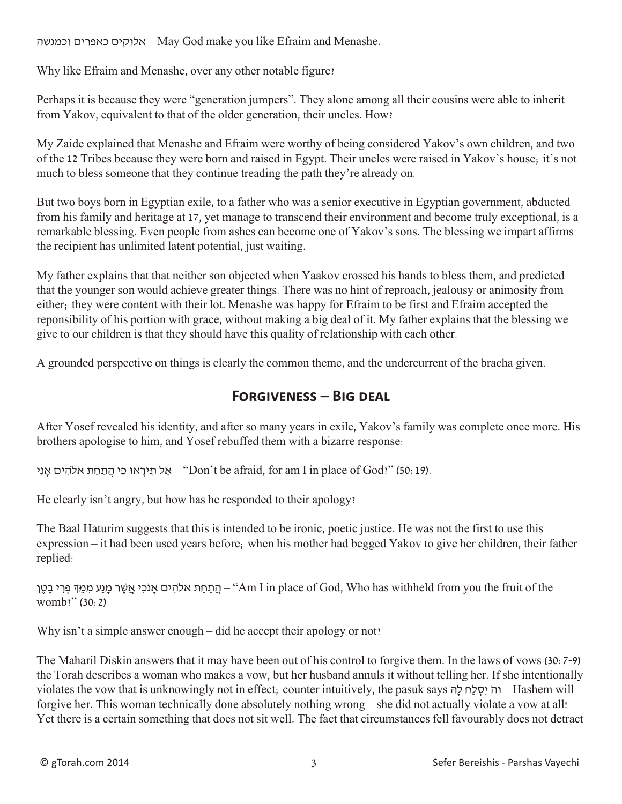וכמנשה כאפרים אלוקים – May God make you like Efraim and Menashe.

Why like Efraim and Menashe, over any other notable figure?

Perhaps it is because they were "generation jumpers". They alone among all their cousins were able to inherit from Yakov, equivalent to that of the older generation, their uncles. How?

My Zaide explained that Menashe and Efraim were worthy of being considered Yakov's own children, and two of the 12 Tribes because they were born and raised in Egypt. Their uncles were raised in Yakov's house; it's not much to bless someone that they continue treading the path they're already on.

But two boys born in Egyptian exile, to a father who was a senior executive in Egyptian government, abducted from his family and heritage at 17, yet manage to transcend their environment and become truly exceptional, is a remarkable blessing. Even people from ashes can become one of Yakov's sons. The blessing we impart affirms the recipient has unlimited latent potential, just waiting.

My father explains that that neither son objected when Yaakov crossed his hands to bless them, and predicted that the younger son would achieve greater things. There was no hint of reproach, jealousy or animosity from either; they were content with their lot. Menashe was happy for Efraim to be first and Efraim accepted the reponsibility of his portion with grace, without making a big deal of it. My father explains that the blessing we give to our children is that they should have this quality of relationship with each other.

A grounded perspective on things is clearly the common theme, and the undercurrent of the bracha given.

#### **Forgiveness – Big deal**

After Yosef revealed his identity, and after so many years in exile, Yakov's family was complete once more. His brothers apologise to him, and Yosef rebuffed them with a bizarre response:

אַל תִּירָאוּ כִּי הֲתַחַת אלהִים אָנִי "Don't be afraid, for am I in place of God?" (50: 19).

He clearly isn't angry, but how has he responded to their apology?

The Baal Haturim suggests that this is intended to be ironic, poetic justice. He was not the first to use this expression – it had been used years before; when his mother had begged Yakov to give her children, their father replied:

הַתַּחַת אלהִים אָנֹכִי אֲשֶׁר מָנַע מִמֵךְ בִּרִי בָטֵן – "Am I in place of God, Who has withheld from you the fruit of the womb?" (30:2)

Why isn't a simple answer enough – did he accept their apology or not?

The Maharil Diskin answers that it may have been out of his control to forgive them. In the laws of vows (30:7-9) the Torah describes a woman who makes a vow, but her husband annuls it without telling her. If she intentionally violates the vow that is unknowingly not in effect; counter intuitively, the pasuk says הָּל חַל ְסִי ֹוה – Hashem will forgive her. This woman technically done absolutely nothing wrong – she did not actually violate a vow at all! Yet there is a certain something that does not sit well. The fact that circumstances fell favourably does not detract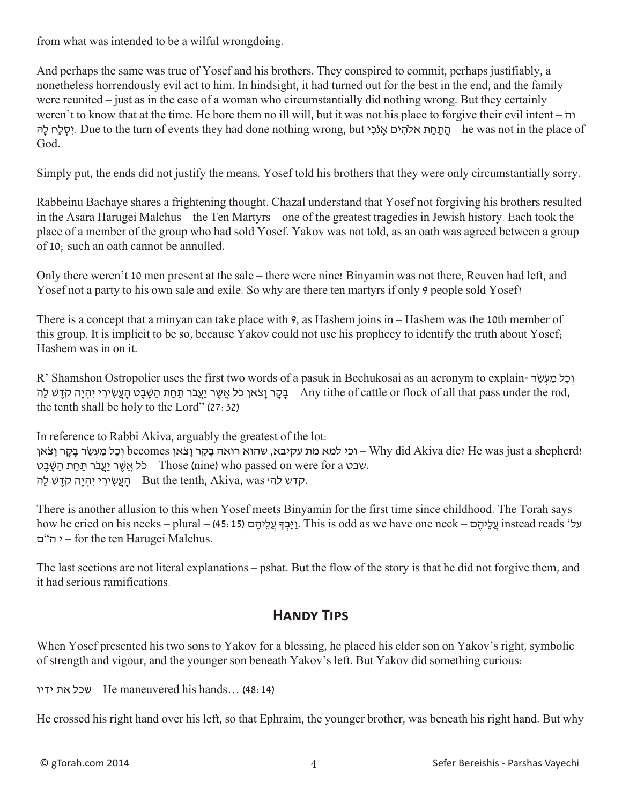from what was intended to be a wilful wrongdoing.

And perhaps the same was true of Yosef and his brothers. They conspired to commit, perhaps justifiably, a nonetheless horrendously evil act to him. In hindsight, it had turned out for the best in the end, and the family were reunited – just as in the case of a woman who circumstantially did nothing wrong. But they certainly weren't to know that at the time. He bore them no ill will, but it was not his place to forgive their evil intent – ֹוה יסלח להּ, Due to the turn of events they had done nothing wrong, but יהלהים אנֹכי. Due to the turn of events they had done nothing wrong, but יסלח God.

Simply put, the ends did not justify the means. Yosef told his brothers that they were only circumstantially sorry.

Rabbeinu Bachaye shares a frightening thought. Chazal understand that Yosef not forgiving his brothers resulted in the Asara Harugei Malchus – the Ten Martyrs – one of the greatest tragedies in Jewish history. Each took the place of a member of the group who had sold Yosef. Yakov was not told, as an oath was agreed between a group of 10; such an oath cannot be annulled.

Only there weren't 10 men present at the sale – there were nine! Binyamin was not there, Reuven had left, and Yosef not a party to his own sale and exile. So why are there ten martyrs if only 9 people sold Yosef?

There is a concept that a minyan can take place with 9, as Hashem joins in – Hashem was the 10th member of this group. It is implicit to be so, because Yakov could not use his prophecy to identify the truth about Yosef; Hashem was in on it.

R' Shamshon Ostropolier uses the first two words of a pasuk in Bechukosai as an acronym to explain- וְכַל מַעְשָׂר בָקָר וַצֹאן כֹּל אֲשֶׁר יַעֲבֹר תַּחַת הַשֶּׁבֵט הַעֲשִׂירִי יִהְיֵה קֹדֶשׁ לַה- Any tithe of cattle or flock of all that pass under the rod, the tenth shall be holy to the Lord" (27:32)

In reference to Rabbi Akiva, arguably the greatest of the lot: וכל מַעְשֶׂר בַּקָר וַצֹאן becomes וְכַל מַעְשֶׂר בַּקָר Lyhy did Akiva die? He was just a shepherd! שבט Those (nine) who passed on were for a כֹּל אֲשֶׁר יַעֲבֹר תַּחַת הַשֶּׁבֵט. קדש לה׳ ש $-$ But the tenth, Akiva, was יהָיֵה קֹדֶש לַה $-$ 

There is another allusion to this when Yosef meets Binyamin for the first time since childhood. The Torah says how he cried on his necks – plural – (45:15) על וֹאֲכָהָם (15 - 515). This is odd as we have one neck – על ם"ה י – for the ten Harugei Malchus.

The last sections are not literal explanations – pshat. But the flow of the story is that he did not forgive them, and it had serious ramifications.

### **Handy Tips**

When Yosef presented his two sons to Yakov for a blessing, he placed his elder son on Yakov's right, symbolic of strength and vigour, and the younger son beneath Yakov's left. But Yakov did something curious:

ידיו את שכל – He maneuvered his hands… (48:14)

He crossed his right hand over his left, so that Ephraim, the younger brother, was beneath his right hand. But why